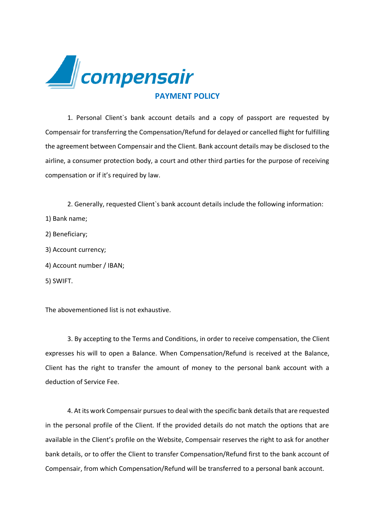

1. Personal Client`s bank account details and a copy of passport are requested by Compensair for transferring the Compensation/Refund for delayed or cancelled flight for fulfilling the agreement between Compensair and the Client. Bank account details may be disclosed to the airline, a consumer protection body, a court and other third parties for the purpose of receiving compensation or if it's required by law.

2. Generally, requested Client`s bank account details include the following information:

- 1) Bank name;
- 2) Beneficiary;
- 3) Account currency;
- 4) Account number / IBAN;
- 5) SWIFT.

The abovementioned list is not exhaustive.

3. By accepting to the Terms and Conditions, in order to receive compensation, the Client expresses his will to open a Balance. When Compensation/Refund is received at the Balance, Client has the right to transfer the amount of money to the personal bank account with a deduction of Service Fee.

4. At its work Compensair pursues to deal with the specific bank details that are requested in the personal profile of the Client. If the provided details do not match the options that are available in the Client's profile on the Website, Compensair reserves the right to ask for another bank details, or to offer the Client to transfer Compensation/Refund first to the bank account of Compensair, from which Compensation/Refund will be transferred to a personal bank account.